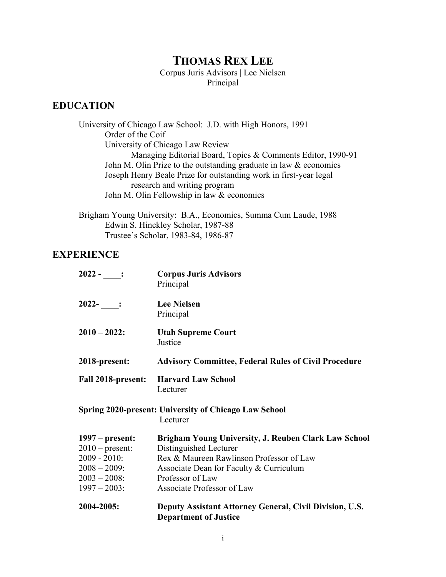# **THOMAS REX LEE**

Corpus Juris Advisors | Lee Nielsen Principal

## **EDUCATION**

University of Chicago Law School: J.D. with High Honors, 1991 Order of the Coif University of Chicago Law Review Managing Editorial Board, Topics & Comments Editor, 1990-91 John M. Olin Prize to the outstanding graduate in law & economics Joseph Henry Beale Prize for outstanding work in first-year legal research and writing program John M. Olin Fellowship in law & economics

Brigham Young University: B.A., Economics, Summa Cum Laude, 1988 Edwin S. Hinckley Scholar, 1987-88 Trustee's Scholar, 1983-84, 1986-87

### **EXPERIENCE**

| 2004-2005:                             | Deputy Assistant Attorney General, Civil Division, U.S.<br><b>Department of Justice</b> |
|----------------------------------------|-----------------------------------------------------------------------------------------|
| $1997 - 2003$ :                        | Associate Professor of Law                                                              |
| $2003 - 2008$ :                        | Professor of Law                                                                        |
| $2008 - 2009$ :                        | Associate Dean for Faculty & Curriculum                                                 |
| $2009 - 2010$ :                        | Rex & Maureen Rawlinson Professor of Law                                                |
| $1997$ – present:<br>$2010$ – present: | Brigham Young University, J. Reuben Clark Law School<br>Distinguished Lecturer          |
|                                        | <b>Spring 2020-present: University of Chicago Law School</b><br>Lecturer                |
| <b>Fall 2018-present:</b>              | <b>Harvard Law School</b><br>Lecturer                                                   |
| 2018-present:                          | <b>Advisory Committee, Federal Rules of Civil Procedure</b>                             |
| $2010 - 2022$ :                        | <b>Utah Supreme Court</b><br>Justice                                                    |
| $2022 -$ :                             | <b>Lee Nielsen</b><br>Principal                                                         |
| $2022 -$ :                             | <b>Corpus Juris Advisors</b><br>Principal                                               |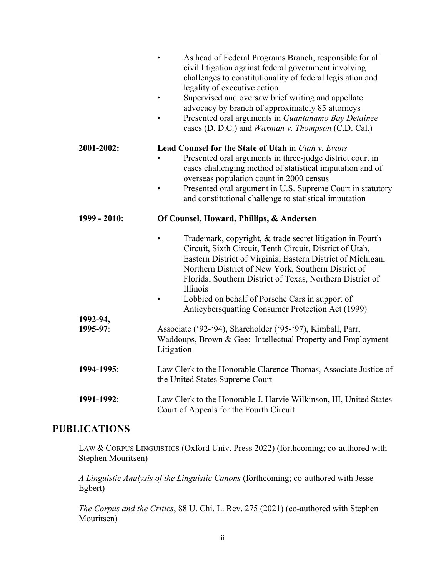|                      | As head of Federal Programs Branch, responsible for all<br>$\bullet$<br>civil litigation against federal government involving<br>challenges to constitutionality of federal legislation and<br>legality of executive action<br>Supervised and oversaw brief writing and appellate<br>$\bullet$<br>advocacy by branch of approximately 85 attorneys<br>Presented oral arguments in Guantanamo Bay Detainee<br>cases (D. D.C.) and <i>Waxman v. Thompson</i> (C.D. Cal.)   |
|----------------------|--------------------------------------------------------------------------------------------------------------------------------------------------------------------------------------------------------------------------------------------------------------------------------------------------------------------------------------------------------------------------------------------------------------------------------------------------------------------------|
| 2001-2002:           | <b>Lead Counsel for the State of Utah in Utah v. Evans</b><br>Presented oral arguments in three-judge district court in<br>cases challenging method of statistical imputation and of<br>overseas population count in 2000 census<br>Presented oral argument in U.S. Supreme Court in statutory<br>and constitutional challenge to statistical imputation                                                                                                                 |
| 1999 - 2010:         | Of Counsel, Howard, Phillips, & Andersen<br>Trademark, copyright, & trade secret litigation in Fourth<br>Circuit, Sixth Circuit, Tenth Circuit, District of Utah,<br>Eastern District of Virginia, Eastern District of Michigan,<br>Northern District of New York, Southern District of<br>Florida, Southern District of Texas, Northern District of<br>Illinois<br>Lobbied on behalf of Porsche Cars in support of<br>Anticybersquatting Consumer Protection Act (1999) |
| 1992-94,<br>1995-97: | Associate ('92-'94), Shareholder ('95-'97), Kimball, Parr,<br>Waddoups, Brown & Gee: Intellectual Property and Employment<br>Litigation                                                                                                                                                                                                                                                                                                                                  |
| 1994-1995:           | Law Clerk to the Honorable Clarence Thomas, Associate Justice of<br>the United States Supreme Court                                                                                                                                                                                                                                                                                                                                                                      |
| 1991-1992:           | Law Clerk to the Honorable J. Harvie Wilkinson, III, United States<br>Court of Appeals for the Fourth Circuit                                                                                                                                                                                                                                                                                                                                                            |

## **PUBLICATIONS**

LAW & CORPUS LINGUISTICS (Oxford Univ. Press 2022) (forthcoming; co-authored with Stephen Mouritsen)

*A Linguistic Analysis of the Linguistic Canons* (forthcoming; co-authored with Jesse Egbert)

*The Corpus and the Critics*, 88 U. Chi. L. Rev. 275 (2021) (co-authored with Stephen Mouritsen)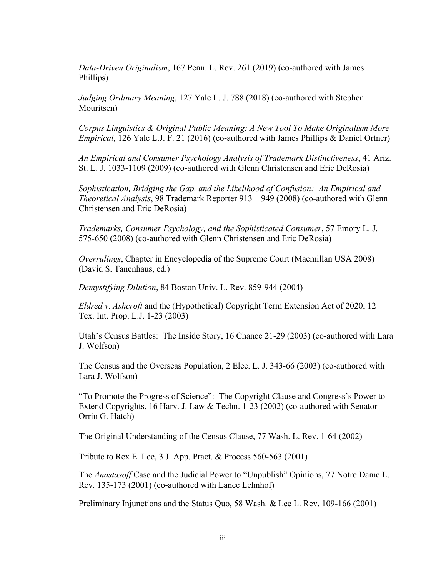*Data-Driven Originalism*, 167 Penn. L. Rev. 261 (2019) (co-authored with James Phillips)

*Judging Ordinary Meaning*, 127 Yale L. J. 788 (2018) (co-authored with Stephen Mouritsen)

*Corpus Linguistics & Original Public Meaning: A New Tool To Make Originalism More Empirical,* 126 Yale L.J. F. 21 (2016) (co-authored with James Phillips & Daniel Ortner)

*An Empirical and Consumer Psychology Analysis of Trademark Distinctiveness*, 41 Ariz. St. L. J. 1033-1109 (2009) (co-authored with Glenn Christensen and Eric DeRosia)

*Sophistication, Bridging the Gap, and the Likelihood of Confusion: An Empirical and Theoretical Analysis*, 98 Trademark Reporter 913 – 949 (2008) (co-authored with Glenn Christensen and Eric DeRosia)

*Trademarks, Consumer Psychology, and the Sophisticated Consumer*, 57 Emory L. J. 575-650 (2008) (co-authored with Glenn Christensen and Eric DeRosia)

*Overrulings*, Chapter in Encyclopedia of the Supreme Court (Macmillan USA 2008) (David S. Tanenhaus, ed.)

*Demystifying Dilution*, 84 Boston Univ. L. Rev. 859-944 (2004)

*Eldred v. Ashcroft* and the (Hypothetical) Copyright Term Extension Act of 2020, 12 Tex. Int. Prop. L.J. 1-23 (2003)

Utah's Census Battles: The Inside Story, 16 Chance 21-29 (2003) (co-authored with Lara J. Wolfson)

The Census and the Overseas Population, 2 Elec. L. J. 343-66 (2003) (co-authored with Lara J. Wolfson)

"To Promote the Progress of Science": The Copyright Clause and Congress's Power to Extend Copyrights, 16 Harv. J. Law & Techn. 1-23 (2002) (co-authored with Senator Orrin G. Hatch)

The Original Understanding of the Census Clause, 77 Wash. L. Rev. 1-64 (2002)

Tribute to Rex E. Lee, 3 J. App. Pract. & Process 560-563 (2001)

The *Anastasoff* Case and the Judicial Power to "Unpublish" Opinions, 77 Notre Dame L. Rev. 135-173 (2001) (co-authored with Lance Lehnhof)

Preliminary Injunctions and the Status Quo, 58 Wash. & Lee L. Rev. 109-166 (2001)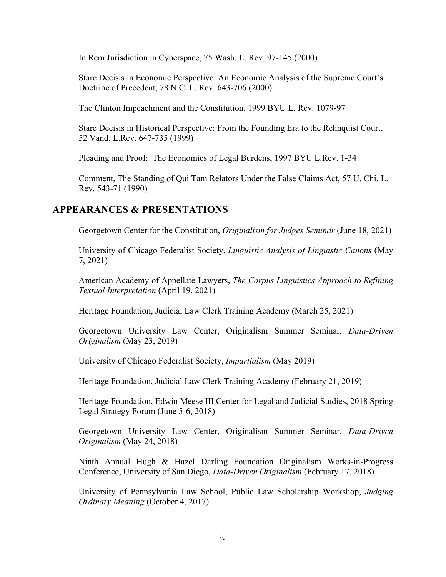In Rem Jurisdiction in Cyberspace, 75 Wash. L. Rev. 97-145 (2000)

Stare Decisis in Economic Perspective: An Economic Analysis of the Supreme Court's Doctrine of Precedent, 78 N.C. L. Rev. 643-706 (2000)

The Clinton Impeachment and the Constitution, 1999 BYU L. Rev. 1079-97

Stare Decisis in Historical Perspective: From the Founding Era to the Rehnquist Court, 52 Vand. L.Rev. 647-735 (1999)

Pleading and Proof: The Economics of Legal Burdens, 1997 BYU L.Rev. 1-34

Comment, The Standing of Qui Tam Relators Under the False Claims Act, 57 U. Chi. L. Rev. 543-71 (1990)

#### **APPEARANCES & PRESENTATIONS**

Georgetown Center for the Constitution, *Originalism for Judges Seminar* (June 18, 2021)

University of Chicago Federalist Society, *Linguistic Analysis of Linguistic Canons* (May 7, 2021)

American Academy of Appellate Lawyers, *The Corpus Linguistics Approach to Refining Textual Interpretation* (April 19, 2021)

Heritage Foundation, Judicial Law Clerk Training Academy (March 25, 2021)

Georgetown University Law Center, Originalism Summer Seminar, *Data-Driven Originalism* (May 23, 2019)

University of Chicago Federalist Society, *Impartialism* (May 2019)

Heritage Foundation, Judicial Law Clerk Training Academy (February 21, 2019)

Heritage Foundation, Edwin Meese III Center for Legal and Judicial Studies, 2018 Spring Legal Strategy Forum (June 5-6, 2018)

Georgetown University Law Center, Originalism Summer Seminar, *Data-Driven Originalism* (May 24, 2018)

Ninth Annual Hugh & Hazel Darling Foundation Originalism Works-in-Progress Conference, University of San Diego, *Data-Driven Originalism* (February 17, 2018)

University of Pennsylvania Law School, Public Law Scholarship Workshop, *Judging Ordinary Meaning* (October 4, 2017)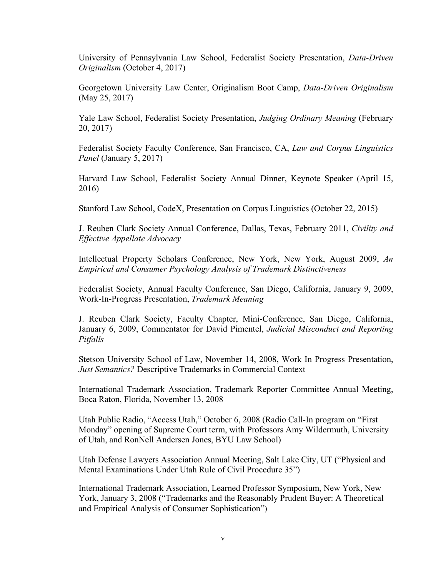University of Pennsylvania Law School, Federalist Society Presentation, *Data-Driven Originalism* (October 4, 2017)

Georgetown University Law Center, Originalism Boot Camp, *Data-Driven Originalism* (May 25, 2017)

Yale Law School, Federalist Society Presentation, *Judging Ordinary Meaning* (February 20, 2017)

Federalist Society Faculty Conference, San Francisco, CA, *Law and Corpus Linguistics Panel* (January 5, 2017)

Harvard Law School, Federalist Society Annual Dinner, Keynote Speaker (April 15, 2016)

Stanford Law School, CodeX, Presentation on Corpus Linguistics (October 22, 2015)

J. Reuben Clark Society Annual Conference, Dallas, Texas, February 2011, *Civility and Effective Appellate Advocacy*

Intellectual Property Scholars Conference, New York, New York, August 2009, *An Empirical and Consumer Psychology Analysis of Trademark Distinctiveness*

Federalist Society, Annual Faculty Conference, San Diego, California, January 9, 2009, Work-In-Progress Presentation, *Trademark Meaning*

J. Reuben Clark Society, Faculty Chapter, Mini-Conference, San Diego, California, January 6, 2009, Commentator for David Pimentel, *Judicial Misconduct and Reporting Pitfalls*

Stetson University School of Law, November 14, 2008, Work In Progress Presentation, *Just Semantics?* Descriptive Trademarks in Commercial Context

International Trademark Association, Trademark Reporter Committee Annual Meeting, Boca Raton, Florida, November 13, 2008

Utah Public Radio, "Access Utah," October 6, 2008 (Radio Call-In program on "First Monday" opening of Supreme Court term, with Professors Amy Wildermuth, University of Utah, and RonNell Andersen Jones, BYU Law School)

Utah Defense Lawyers Association Annual Meeting, Salt Lake City, UT ("Physical and Mental Examinations Under Utah Rule of Civil Procedure 35")

International Trademark Association, Learned Professor Symposium, New York, New York, January 3, 2008 ("Trademarks and the Reasonably Prudent Buyer: A Theoretical and Empirical Analysis of Consumer Sophistication")